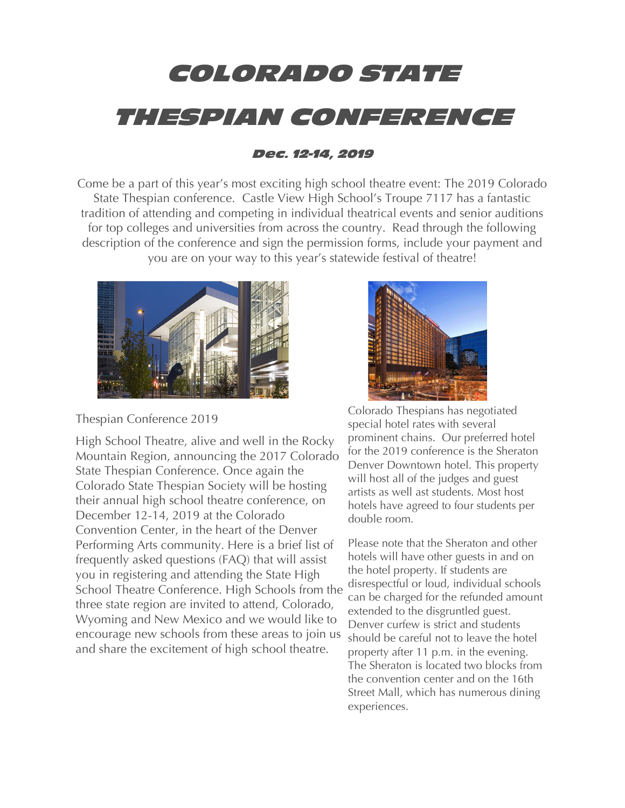# COLORADO STATE THESPIAN CONFERENCE

# Dec. 12-14, 2019

Come be a part of this year's most exciting high school theatre event: The 2019 Colorado State Thespian conference. Castle View High School's Troupe 7117 has a fantastic tradition of attending and competing in individual theatrical events and senior auditions for top colleges and universities from across the country. Read through the following description of the conference and sign the permission forms, include your payment and you are on your way to this year's statewide festival of theatre!



Thespian Conference 2019

High School Theatre, alive and well in the Rocky Mountain Region, announcing the 2017 Colorado State Thespian Conference. Once again the Colorado State Thespian Society will be hosting their annual high school theatre conference, on December 12-14, 2019 at the Colorado Convention Center, in the heart of the Denver Performing Arts community. Here is a brief list of frequently asked questions (FAQ) that will assist you in registering and attending the State High School Theatre Conference. High Schools from the three state region are invited to attend, Colorado, Wyoming and New Mexico and we would like to encourage new schools from these areas to join us and share the excitement of high school theatre.



Colorado Thespians has negotiated special hotel rates with several prominent chains. Our preferred hotel for the 2019 conference is the Sheraton Denver Downtown hotel. This property will host all of the judges and guest artists as well ast students. Most host hotels have agreed to four students per double room.

Please note that the Sheraton and other hotels will have other guests in and on the hotel property. If students are disrespectful or loud, individual schools can be charged for the refunded amount extended to the disgruntled guest. Denver curfew is strict and students should be careful not to leave the hotel property after 11 p.m. in the evening. The Sheraton is located two blocks from the convention center and on the 16th Street Mall, which has numerous dining experiences.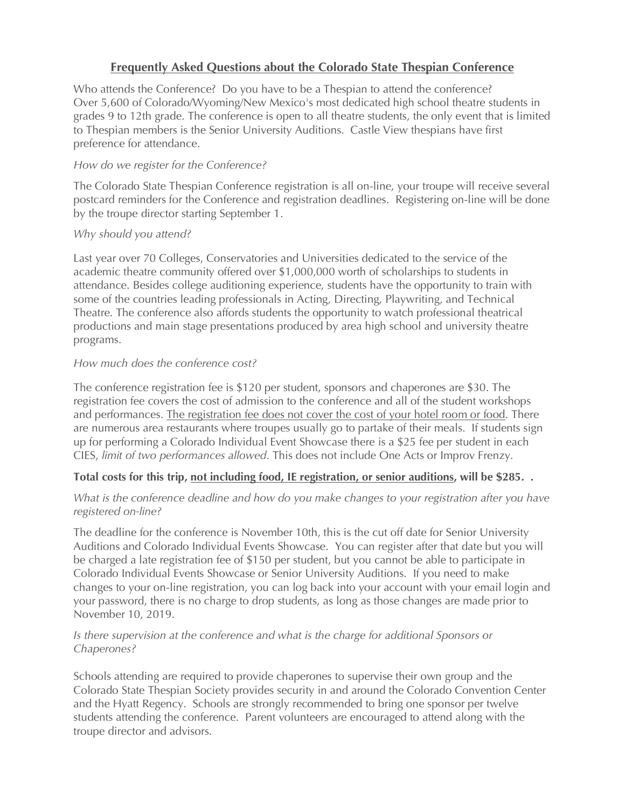## **Frequently Asked Questions about the Colorado State Thespian Conference**

Who attends the Conference? Do you have to be a Thespian to attend the conference? Over 5,600 of Colorado/Wyoming/New Mexico's most dedicated high school theatre students in grades 9 to 12th grade. The conference is open to all theatre students, the only event that is limited to Thespian members is the Senior University Auditions. Castle View thespians have first preference for attendance.

#### *How do we register for the Conference?*

The Colorado State Thespian Conference registration is all on-line, your troupe will receive several postcard reminders for the Conference and registration deadlines. Registering on-line will be done by the troupe director starting September 1.

### *Why should you attend?*

Last year over 70 Colleges, Conservatories and Universities dedicated to the service of the academic theatre community offered over \$1,000,000 worth of scholarships to students in attendance. Besides college auditioning experience, students have the opportunity to train with some of the countries leading professionals in Acting, Directing, Playwriting, and Technical Theatre. The conference also affords students the opportunity to watch professional theatrical productions and main stage presentations produced by area high school and university theatre programs.

#### *How much does the conference cost?*

The conference registration fee is \$120 per student, sponsors and chaperones are \$30. The registration fee covers the cost of admission to the conference and all of the student workshops and performances. The registration fee does not cover the cost of your hotel room or food. There are numerous area restaurants where troupes usually go to partake of their meals. If students sign up for performing a Colorado Individual Event Showcase there is a \$25 fee per student in each CIES, *limit of two performances allowed*. This does not include One Acts or Improv Frenzy.

#### **Total costs for this trip, not including food, IE registration, or senior auditions, will be \$285. .**

#### *What is the conference deadline and how do you make changes to your registration after you have registered on-line?*

The deadline for the conference is November 10th, this is the cut off date for Senior University Auditions and Colorado Individual Events Showcase. You can register after that date but you will be charged a late registration fee of \$150 per student, but you cannot be able to participate in Colorado Individual Events Showcase or Senior University Auditions. If you need to make changes to your on-line registration, you can log back into your account with your email login and your password, there is no charge to drop students, as long as those changes are made prior to November 10, 2019.

#### *Is there supervision at the conference and what is the charge for additional Sponsors or Chaperones?*

Schools attending are required to provide chaperones to supervise their own group and the Colorado State Thespian Society provides security in and around the Colorado Convention Center and the Hyatt Regency. Schools are strongly recommended to bring one sponsor per twelve students attending the conference. Parent volunteers are encouraged to attend along with the troupe director and advisors.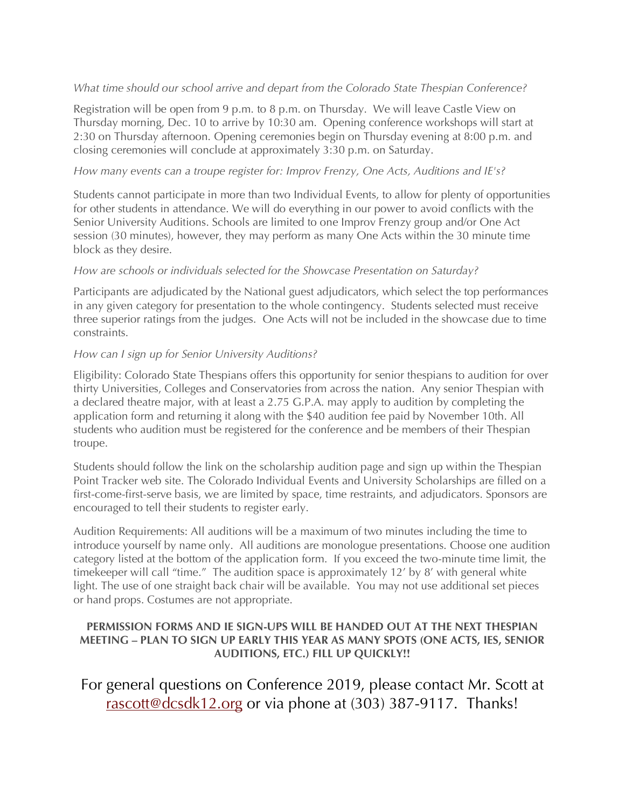#### *What time should our school arrive and depart from the Colorado State Thespian Conference?*

Registration will be open from 9 p.m. to 8 p.m. on Thursday. We will leave Castle View on Thursday morning, Dec. 10 to arrive by 10:30 am. Opening conference workshops will start at 2:30 on Thursday afternoon. Opening ceremonies begin on Thursday evening at 8:00 p.m. and closing ceremonies will conclude at approximately 3:30 p.m. on Saturday.

#### *How many events can a troupe register for: Improv Frenzy, One Acts, Auditions and IE's?*

Students cannot participate in more than two Individual Events, to allow for plenty of opportunities for other students in attendance. We will do everything in our power to avoid conflicts with the Senior University Auditions. Schools are limited to one Improv Frenzy group and/or One Act session (30 minutes), however, they may perform as many One Acts within the 30 minute time block as they desire.

#### *How are schools or individuals selected for the Showcase Presentation on Saturday?*

Participants are adjudicated by the National guest adjudicators, which select the top performances in any given category for presentation to the whole contingency. Students selected must receive three superior ratings from the judges. One Acts will not be included in the showcase due to time constraints.

#### *How can I sign up for Senior University Auditions?*

Eligibility: Colorado State Thespians offers this opportunity for senior thespians to audition for over thirty Universities, Colleges and Conservatories from across the nation. Any senior Thespian with a declared theatre major, with at least a 2.75 G.P.A. may apply to audition by completing the application form and returning it along with the \$40 audition fee paid by November 10th. All students who audition must be registered for the conference and be members of their Thespian troupe.

Students should follow the link on the scholarship audition page and sign up within the Thespian Point Tracker web site. The Colorado Individual Events and University Scholarships are filled on a first-come-first-serve basis, we are limited by space, time restraints, and adjudicators. Sponsors are encouraged to tell their students to register early.

Audition Requirements: All auditions will be a maximum of two minutes including the time to introduce yourself by name only. All auditions are monologue presentations. Choose one audition category listed at the bottom of the application form. If you exceed the two-minute time limit, the timekeeper will call "time." The audition space is approximately 12' by 8' with general white light. The use of one straight back chair will be available. You may not use additional set pieces or hand props. Costumes are not appropriate.

#### **PERMISSION FORMS AND IE SIGN-UPS WILL BE HANDED OUT AT THE NEXT THESPIAN MEETING – PLAN TO SIGN UP EARLY THIS YEAR AS MANY SPOTS (ONE ACTS, IES, SENIOR AUDITIONS, ETC.) FILL UP QUICKLY!!**

For general questions on Conference 2019, please contact Mr. Scott at rascott@dcsdk12.org or via phone at (303) 387-9117. Thanks!